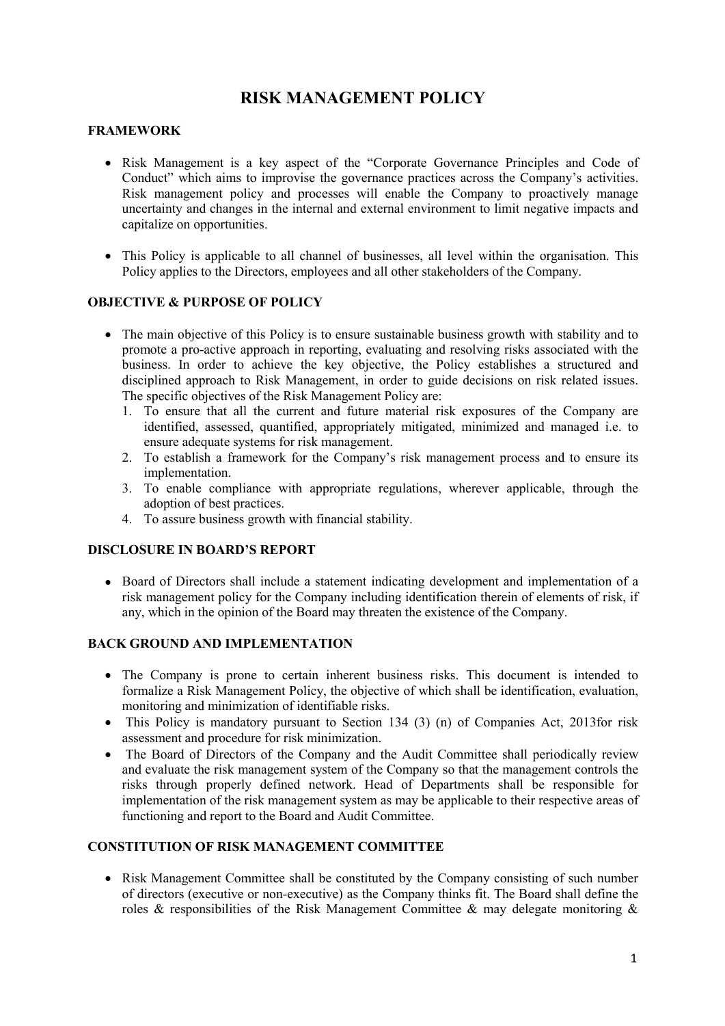# **RISK MANAGEMENT POLICY**

### **FRAMEWORK**

- Risk Management is a key aspect of the "Corporate Governance Principles and Code of Conduct" which aims to improvise the governance practices across the Company's activities. Risk management policy and processes will enable the Company to proactively manage uncertainty and changes in the internal and external environment to limit negative impacts and capitalize on opportunities.
- This Policy is applicable to all channel of businesses, all level within the organisation. This Policy applies to the Directors, employees and all other stakeholders of the Company.

# **OBJECTIVE & PURPOSE OF POLICY**

- The main objective of this Policy is to ensure sustainable business growth with stability and to promote a pro-active approach in reporting, evaluating and resolving risks associated with the business. In order to achieve the key objective, the Policy establishes a structured and disciplined approach to Risk Management, in order to guide decisions on risk related issues. The specific objectives of the Risk Management Policy are:
	- 1. To ensure that all the current and future material risk exposures of the Company are identified, assessed, quantified, appropriately mitigated, minimized and managed i.e. to ensure adequate systems for risk management.
	- 2. To establish a framework for the Company's risk management process and to ensure its implementation.
	- 3. To enable compliance with appropriate regulations, wherever applicable, through the adoption of best practices.
	- 4. To assure business growth with financial stability.

# **DISCLOSURE IN BOARD'S REPORT**

• Board of Directors shall include a statement indicating development and implementation of a risk management policy for the Company including identification therein of elements of risk, if any, which in the opinion of the Board may threaten the existence of the Company.

#### **BACK GROUND AND IMPLEMENTATION**

- The Company is prone to certain inherent business risks.This document is intended to formalize a Risk Management Policy, the objective of which shall be identification, evaluation, monitoring and minimization of identifiable risks.
- This Policy is mandatory pursuant to Section 134 (3) (n) of Companies Act, 2013for risk assessment and procedure for risk minimization.
- The Board of Directors of the Company and the Audit Committee shall periodically review and evaluate the risk management system of the Company so that the management controls the risks through properly defined network. Head of Departments shall be responsible for implementation of the risk management system as may be applicable to their respective areas of functioning and report to the Board and Audit Committee.

## **CONSTITUTION OF RISK MANAGEMENT COMMITTEE**

• Risk Management Committee shall be constituted by the Company consisting of such number of directors (executive or non-executive) as the Company thinks fit. The Board shall define the roles & responsibilities of the Risk Management Committee & may delegate monitoring &